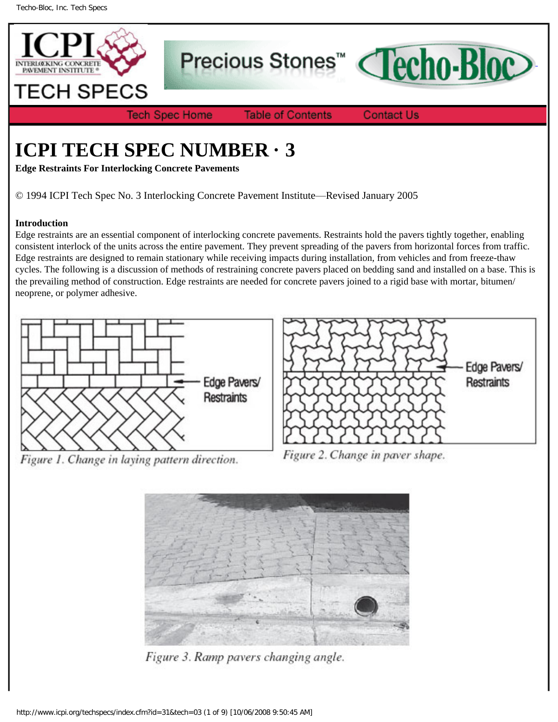

Precious Stones<sup>™</sup>



**Tech Spec Home** 

**Table of Contents** 

**Contact Us** 

# **ICPI TECH SPEC NUMBER · 3**

**Edge Restraints For Interlocking Concrete Pavements**

© 1994 ICPI Tech Spec No. 3 Interlocking Concrete Pavement Institute—Revised January 2005

## **Introduction**

Edge restraints are an essential component of interlocking concrete pavements. Restraints hold the pavers tightly together, enabling consistent interlock of the units across the entire pavement. They prevent spreading of the pavers from horizontal forces from traffic. Edge restraints are designed to remain stationary while receiving impacts during installation, from vehicles and from freeze-thaw cycles. The following is a discussion of methods of restraining concrete pavers placed on bedding sand and installed on a base. This is the prevailing method of construction. Edge restraints are needed for concrete pavers joined to a rigid base with mortar, bitumen/ neoprene, or polymer adhesive.







Figure 2. Change in paver shape.



Figure 3. Ramp pavers changing angle.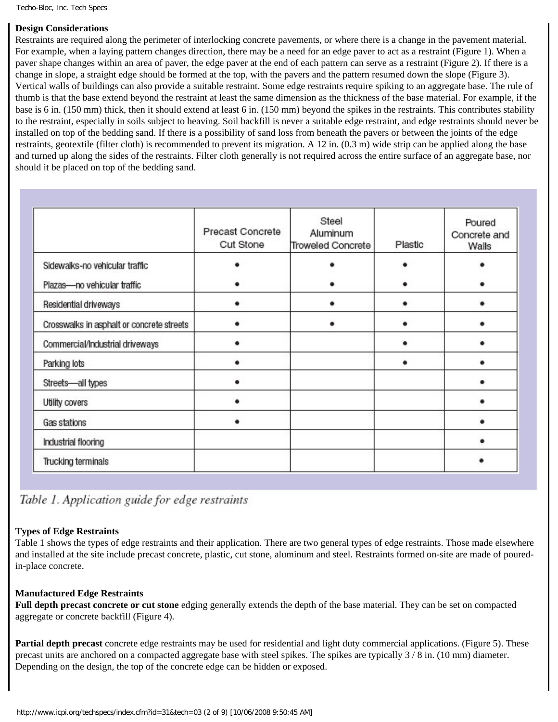Techo-Bloc, Inc. Tech Specs

#### **Design Considerations**

Restraints are required along the perimeter of interlocking concrete pavements, or where there is a change in the pavement material. For example, when a laying pattern changes direction, there may be a need for an edge paver to act as a restraint (Figure 1). When a paver shape changes within an area of paver, the edge paver at the end of each pattern can serve as a restraint (Figure 2). If there is a change in slope, a straight edge should be formed at the top, with the pavers and the pattern resumed down the slope (Figure 3). Vertical walls of buildings can also provide a suitable restraint. Some edge restraints require spiking to an aggregate base. The rule of thumb is that the base extend beyond the restraint at least the same dimension as the thickness of the base material. For example, if the base is 6 in. (150 mm) thick, then it should extend at least 6 in. (150 mm) beyond the spikes in the restraints. This contributes stability to the restraint, especially in soils subject to heaving. Soil backfill is never a suitable edge restraint, and edge restraints should never be installed on top of the bedding sand. If there is a possibility of sand loss from beneath the pavers or between the joints of the edge restraints, geotextile (filter cloth) is recommended to prevent its migration. A 12 in. (0.3 m) wide strip can be applied along the base and turned up along the sides of the restraints. Filter cloth generally is not required across the entire surface of an aggregate base, nor should it be placed on top of the bedding sand.

|                                           | Precast Concrete<br>Cut Stone | Steel<br>Aluminum<br>Troweled Concrete | Plastic | Poured<br>Concrete and<br>Walls |
|-------------------------------------------|-------------------------------|----------------------------------------|---------|---------------------------------|
| Sidewalks-no vehicular traffic            |                               |                                        |         |                                 |
| Plazas-no vehicular traffic               |                               |                                        |         |                                 |
| Residential driveways                     |                               |                                        |         |                                 |
| Crosswalks in asphalt or concrete streets |                               |                                        |         |                                 |
| Commercial/Industrial driveways           |                               |                                        |         |                                 |
| Parking lots                              |                               |                                        |         |                                 |
| Streets-all types                         |                               |                                        |         |                                 |
| Utility covers                            |                               |                                        |         |                                 |
| Gas stations                              |                               |                                        |         |                                 |
| Industrial flooring                       |                               |                                        |         |                                 |
| Trucking terminals                        |                               |                                        |         |                                 |

Table 1. Application guide for edge restraints

## **Types of Edge Restraints**

Table 1 shows the types of edge restraints and their application. There are two general types of edge restraints. Those made elsewhere and installed at the site include precast concrete, plastic, cut stone, aluminum and steel. Restraints formed on-site are made of pouredin-place concrete.

#### **Manufactured Edge Restraints**

**Full depth precast concrete or cut stone** edging generally extends the depth of the base material. They can be set on compacted aggregate or concrete backfill (Figure 4).

**Partial depth precast** concrete edge restraints may be used for residential and light duty commercial applications. (Figure 5). These precast units are anchored on a compacted aggregate base with steel spikes. The spikes are typically 3 / 8 in. (10 mm) diameter. Depending on the design, the top of the concrete edge can be hidden or exposed.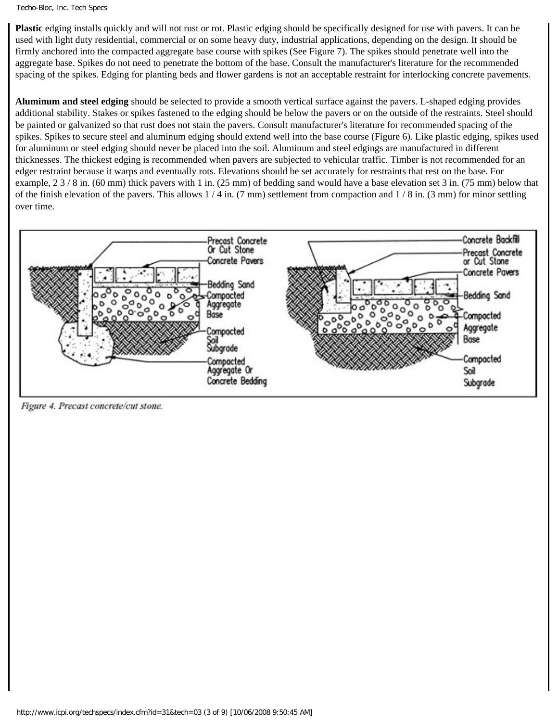#### Techo-Bloc, Inc. Tech Specs

**Plastic** edging installs quickly and will not rust or rot. Plastic edging should be specifically designed for use with pavers. It can be used with light duty residential, commercial or on some heavy duty, industrial applications, depending on the design. It should be firmly anchored into the compacted aggregate base course with spikes (See Figure 7). The spikes should penetrate well into the aggregate base. Spikes do not need to penetrate the bottom of the base. Consult the manufacturer's literature for the recommended spacing of the spikes. Edging for planting beds and flower gardens is not an acceptable restraint for interlocking concrete pavements.

**Aluminum and steel edging** should be selected to provide a smooth vertical surface against the pavers. L-shaped edging provides additional stability. Stakes or spikes fastened to the edging should be below the pavers or on the outside of the restraints. Steel should be painted or galvanized so that rust does not stain the pavers. Consult manufacturer's literature for recommended spacing of the spikes. Spikes to secure steel and aluminum edging should extend well into the base course (Figure 6). Like plastic edging, spikes used for aluminum or steel edging should never be placed into the soil. Aluminum and steel edgings are manufactured in different thicknesses. The thickest edging is recommended when pavers are subjected to vehicular traffic. Timber is not recommended for an edger restraint because it warps and eventually rots. Elevations should be set accurately for restraints that rest on the base. For example, 2 3 / 8 in. (60 mm) thick pavers with 1 in. (25 mm) of bedding sand would have a base elevation set 3 in. (75 mm) below that of the finish elevation of the pavers. This allows  $1/4$  in. (7 mm) settlement from compaction and  $1/8$  in. (3 mm) for minor settling over time.



Figure 4. Precast concrete/cut stone.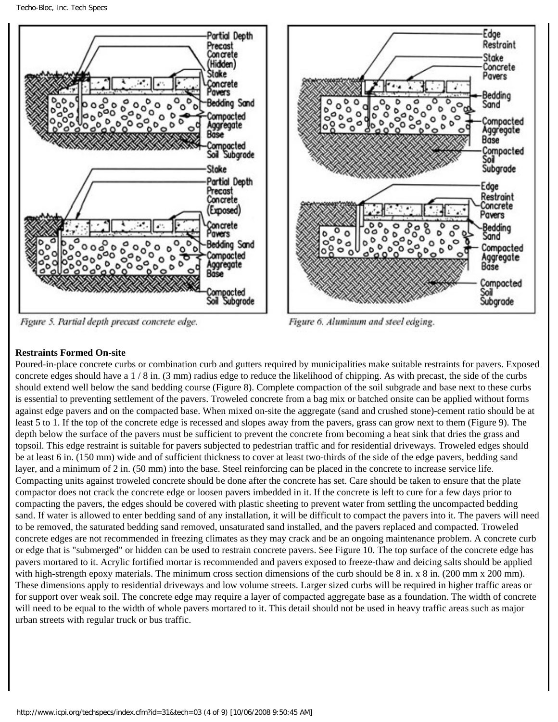

Figure 5. Partial depth precast concrete edge.



Figure 6. Aluminum and steel edging.

# **Restraints Formed On-site**

Poured-in-place concrete curbs or combination curb and gutters required by municipalities make suitable restraints for pavers. Exposed concrete edges should have a 1 / 8 in. (3 mm) radius edge to reduce the likelihood of chipping. As with precast, the side of the curbs should extend well below the sand bedding course (Figure 8). Complete compaction of the soil subgrade and base next to these curbs is essential to preventing settlement of the pavers. Troweled concrete from a bag mix or batched onsite can be applied without forms against edge pavers and on the compacted base. When mixed on-site the aggregate (sand and crushed stone)-cement ratio should be at least 5 to 1. If the top of the concrete edge is recessed and slopes away from the pavers, grass can grow next to them (Figure 9). The depth below the surface of the pavers must be sufficient to prevent the concrete from becoming a heat sink that dries the grass and topsoil. This edge restraint is suitable for pavers subjected to pedestrian traffic and for residential driveways. Troweled edges should be at least 6 in. (150 mm) wide and of sufficient thickness to cover at least two-thirds of the side of the edge pavers, bedding sand layer, and a minimum of 2 in. (50 mm) into the base. Steel reinforcing can be placed in the concrete to increase service life. Compacting units against troweled concrete should be done after the concrete has set. Care should be taken to ensure that the plate compactor does not crack the concrete edge or loosen pavers imbedded in it. If the concrete is left to cure for a few days prior to compacting the pavers, the edges should be covered with plastic sheeting to prevent water from settling the uncompacted bedding sand. If water is allowed to enter bedding sand of any installation, it will be difficult to compact the pavers into it. The pavers will need to be removed, the saturated bedding sand removed, unsaturated sand installed, and the pavers replaced and compacted. Troweled concrete edges are not recommended in freezing climates as they may crack and be an ongoing maintenance problem. A concrete curb or edge that is "submerged" or hidden can be used to restrain concrete pavers. See Figure 10. The top surface of the concrete edge has pavers mortared to it. Acrylic fortified mortar is recommended and pavers exposed to freeze-thaw and deicing salts should be applied with high-strength epoxy materials. The minimum cross section dimensions of the curb should be 8 in. x 8 in. (200 mm x 200 mm). These dimensions apply to residential driveways and low volume streets. Larger sized curbs will be required in higher traffic areas or for support over weak soil. The concrete edge may require a layer of compacted aggregate base as a foundation. The width of concrete will need to be equal to the width of whole pavers mortared to it. This detail should not be used in heavy traffic areas such as major urban streets with regular truck or bus traffic.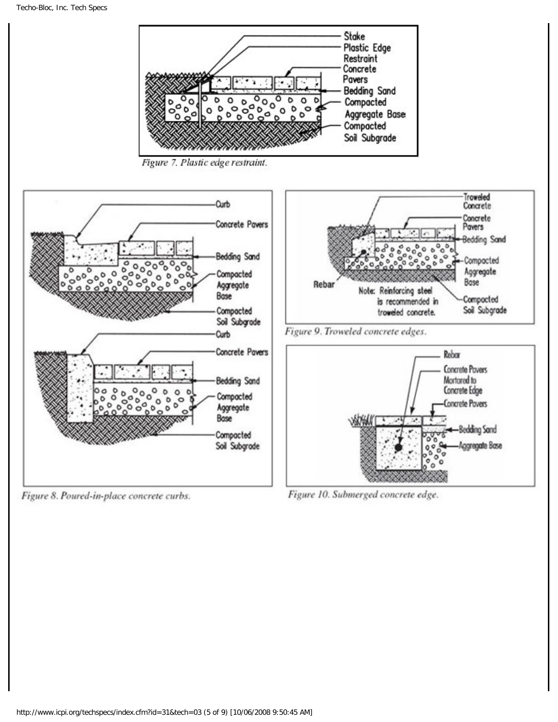

Figure 8. Poured-in-place concrete curbs.

Figure 10. Submerged concrete edge.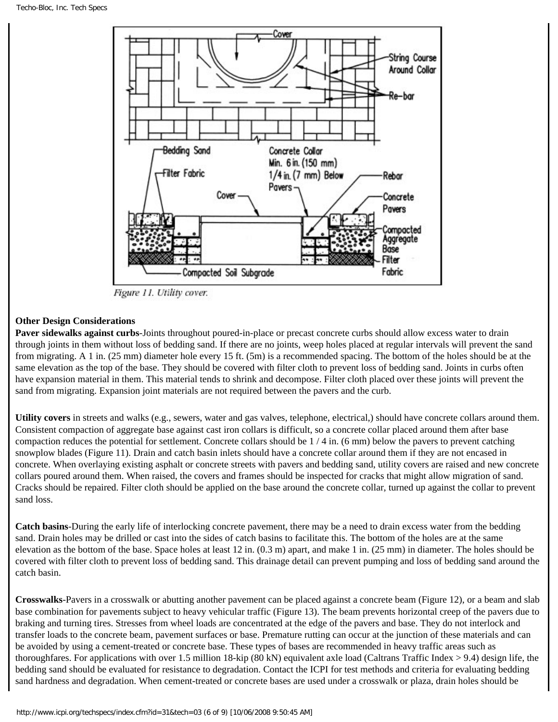

Figure 11. Utility cover.

### **Other Design Considerations**

**Paver sidewalks against curbs**-Joints throughout poured-in-place or precast concrete curbs should allow excess water to drain through joints in them without loss of bedding sand. If there are no joints, weep holes placed at regular intervals will prevent the sand from migrating. A 1 in. (25 mm) diameter hole every 15 ft. (5m) is a recommended spacing. The bottom of the holes should be at the same elevation as the top of the base. They should be covered with filter cloth to prevent loss of bedding sand. Joints in curbs often have expansion material in them. This material tends to shrink and decompose. Filter cloth placed over these joints will prevent the sand from migrating. Expansion joint materials are not required between the pavers and the curb.

**Utility covers** in streets and walks (e.g., sewers, water and gas valves, telephone, electrical,) should have concrete collars around them. Consistent compaction of aggregate base against cast iron collars is difficult, so a concrete collar placed around them after base compaction reduces the potential for settlement. Concrete collars should be 1 / 4 in. (6 mm) below the pavers to prevent catching snowplow blades (Figure 11). Drain and catch basin inlets should have a concrete collar around them if they are not encased in concrete. When overlaying existing asphalt or concrete streets with pavers and bedding sand, utility covers are raised and new concrete collars poured around them. When raised, the covers and frames should be inspected for cracks that might allow migration of sand. Cracks should be repaired. Filter cloth should be applied on the base around the concrete collar, turned up against the collar to prevent sand loss.

**Catch basins**-During the early life of interlocking concrete pavement, there may be a need to drain excess water from the bedding sand. Drain holes may be drilled or cast into the sides of catch basins to facilitate this. The bottom of the holes are at the same elevation as the bottom of the base. Space holes at least 12 in. (0.3 m) apart, and make 1 in. (25 mm) in diameter. The holes should be covered with filter cloth to prevent loss of bedding sand. This drainage detail can prevent pumping and loss of bedding sand around the catch basin.

**Crosswalks**-Pavers in a crosswalk or abutting another pavement can be placed against a concrete beam (Figure 12), or a beam and slab base combination for pavements subject to heavy vehicular traffic (Figure 13). The beam prevents horizontal creep of the pavers due to braking and turning tires. Stresses from wheel loads are concentrated at the edge of the pavers and base. They do not interlock and transfer loads to the concrete beam, pavement surfaces or base. Premature rutting can occur at the junction of these materials and can be avoided by using a cement-treated or concrete base. These types of bases are recommended in heavy traffic areas such as thoroughfares. For applications with over 1.5 million 18-kip (80 kN) equivalent axle load (Caltrans Traffic Index > 9.4) design life, the bedding sand should be evaluated for resistance to degradation. Contact the ICPI for test methods and criteria for evaluating bedding sand hardness and degradation. When cement-treated or concrete bases are used under a crosswalk or plaza, drain holes should be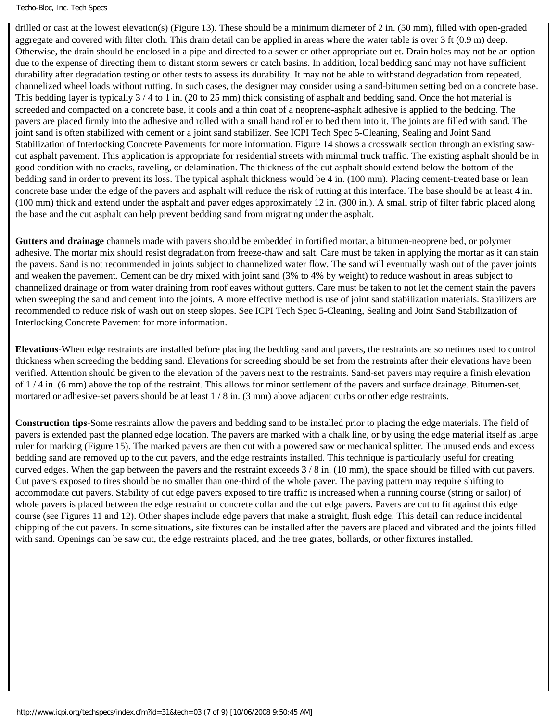#### Techo-Bloc, Inc. Tech Specs

drilled or cast at the lowest elevation(s) (Figure 13). These should be a minimum diameter of 2 in. (50 mm), filled with open-graded aggregate and covered with filter cloth. This drain detail can be applied in areas where the water table is over 3 ft (0.9 m) deep. Otherwise, the drain should be enclosed in a pipe and directed to a sewer or other appropriate outlet. Drain holes may not be an option due to the expense of directing them to distant storm sewers or catch basins. In addition, local bedding sand may not have sufficient durability after degradation testing or other tests to assess its durability. It may not be able to withstand degradation from repeated, channelized wheel loads without rutting. In such cases, the designer may consider using a sand-bitumen setting bed on a concrete base. This bedding layer is typically  $3/4$  to 1 in. (20 to 25 mm) thick consisting of asphalt and bedding sand. Once the hot material is screeded and compacted on a concrete base, it cools and a thin coat of a neoprene-asphalt adhesive is applied to the bedding. The pavers are placed firmly into the adhesive and rolled with a small hand roller to bed them into it. The joints are filled with sand. The joint sand is often stabilized with cement or a joint sand stabilizer. See ICPI Tech Spec 5-Cleaning, Sealing and Joint Sand Stabilization of Interlocking Concrete Pavements for more information. Figure 14 shows a crosswalk section through an existing sawcut asphalt pavement. This application is appropriate for residential streets with minimal truck traffic. The existing asphalt should be in good condition with no cracks, raveling, or delamination. The thickness of the cut asphalt should extend below the bottom of the bedding sand in order to prevent its loss. The typical asphalt thickness would be 4 in. (100 mm). Placing cement-treated base or lean concrete base under the edge of the pavers and asphalt will reduce the risk of rutting at this interface. The base should be at least 4 in. (100 mm) thick and extend under the asphalt and paver edges approximately 12 in. (300 in.). A small strip of filter fabric placed along the base and the cut asphalt can help prevent bedding sand from migrating under the asphalt.

**Gutters and drainage** channels made with pavers should be embedded in fortified mortar, a bitumen-neoprene bed, or polymer adhesive. The mortar mix should resist degradation from freeze-thaw and salt. Care must be taken in applying the mortar as it can stain the pavers. Sand is not recommended in joints subject to channelized water flow. The sand will eventually wash out of the paver joints and weaken the pavement. Cement can be dry mixed with joint sand (3% to 4% by weight) to reduce washout in areas subject to channelized drainage or from water draining from roof eaves without gutters. Care must be taken to not let the cement stain the pavers when sweeping the sand and cement into the joints. A more effective method is use of joint sand stabilization materials. Stabilizers are recommended to reduce risk of wash out on steep slopes. See ICPI Tech Spec 5-Cleaning, Sealing and Joint Sand Stabilization of Interlocking Concrete Pavement for more information.

**Elevations**-When edge restraints are installed before placing the bedding sand and pavers, the restraints are sometimes used to control thickness when screeding the bedding sand. Elevations for screeding should be set from the restraints after their elevations have been verified. Attention should be given to the elevation of the pavers next to the restraints. Sand-set pavers may require a finish elevation of 1 / 4 in. (6 mm) above the top of the restraint. This allows for minor settlement of the pavers and surface drainage. Bitumen-set, mortared or adhesive-set pavers should be at least  $1/8$  in. (3 mm) above adjacent curbs or other edge restraints.

**Construction tips**-Some restraints allow the pavers and bedding sand to be installed prior to placing the edge materials. The field of pavers is extended past the planned edge location. The pavers are marked with a chalk line, or by using the edge material itself as large ruler for marking (Figure 15). The marked pavers are then cut with a powered saw or mechanical splitter. The unused ends and excess bedding sand are removed up to the cut pavers, and the edge restraints installed. This technique is particularly useful for creating curved edges. When the gap between the pavers and the restraint exceeds 3 / 8 in. (10 mm), the space should be filled with cut pavers. Cut pavers exposed to tires should be no smaller than one-third of the whole paver. The paving pattern may require shifting to accommodate cut pavers. Stability of cut edge pavers exposed to tire traffic is increased when a running course (string or sailor) of whole pavers is placed between the edge restraint or concrete collar and the cut edge pavers. Pavers are cut to fit against this edge course (see Figures 11 and 12). Other shapes include edge pavers that make a straight, flush edge. This detail can reduce incidental chipping of the cut pavers. In some situations, site fixtures can be installed after the pavers are placed and vibrated and the joints filled with sand. Openings can be saw cut, the edge restraints placed, and the tree grates, bollards, or other fixtures installed.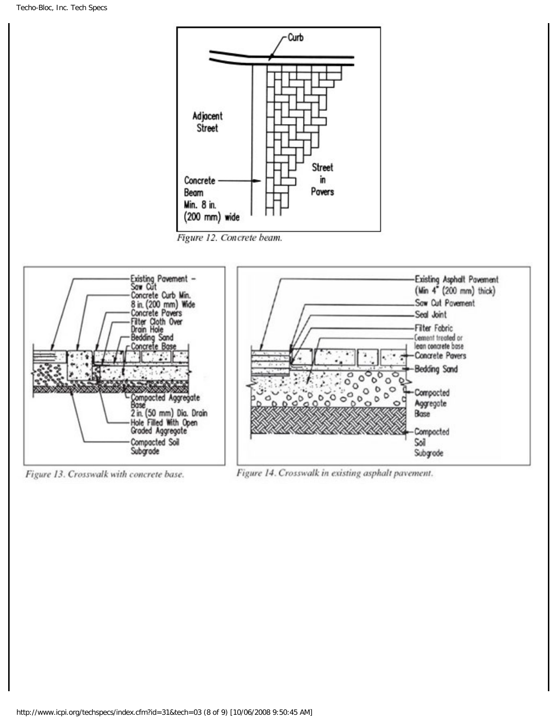

Figure 13. Crosswalk with concrete base.

Figure 14. Crosswalk in existing asphalt pavement.